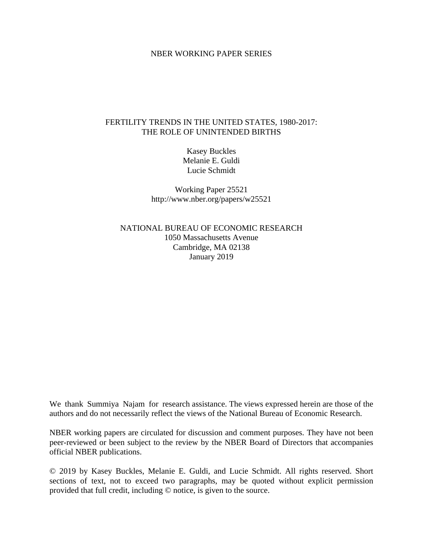## NBER WORKING PAPER SERIES

## FERTILITY TRENDS IN THE UNITED STATES, 1980-2017: THE ROLE OF UNINTENDED BIRTHS

Kasey Buckles Melanie E. Guldi Lucie Schmidt

Working Paper 25521 http://www.nber.org/papers/w25521

NATIONAL BUREAU OF ECONOMIC RESEARCH 1050 Massachusetts Avenue Cambridge, MA 02138 January 2019

We thank Summiya Najam for research assistance. The views expressed herein are those of the authors and do not necessarily reflect the views of the National Bureau of Economic Research.

NBER working papers are circulated for discussion and comment purposes. They have not been peer-reviewed or been subject to the review by the NBER Board of Directors that accompanies official NBER publications.

© 2019 by Kasey Buckles, Melanie E. Guldi, and Lucie Schmidt. All rights reserved. Short sections of text, not to exceed two paragraphs, may be quoted without explicit permission provided that full credit, including © notice, is given to the source.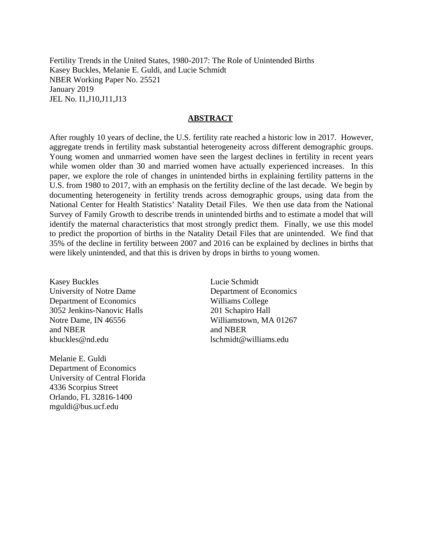Fertility Trends in the United States, 1980-2017: The Role of Unintended Births Kasey Buckles, Melanie E. Guldi, and Lucie Schmidt NBER Working Paper No. 25521 January 2019 JEL No. I1,J10,J11,J13

### **ABSTRACT**

After roughly 10 years of decline, the U.S. fertility rate reached a historic low in 2017. However, aggregate trends in fertility mask substantial heterogeneity across different demographic groups. Young women and unmarried women have seen the largest declines in fertility in recent years while women older than 30 and married women have actually experienced increases. In this paper, we explore the role of changes in unintended births in explaining fertility patterns in the U.S. from 1980 to 2017, with an emphasis on the fertility decline of the last decade. We begin by documenting heterogeneity in fertility trends across demographic groups, using data from the National Center for Health Statistics' Natality Detail Files. We then use data from the National Survey of Family Growth to describe trends in unintended births and to estimate a model that will identify the maternal characteristics that most strongly predict them. Finally, we use this model to predict the proportion of births in the Natality Detail Files that are unintended. We find that 35% of the decline in fertility between 2007 and 2016 can be explained by declines in births that were likely unintended, and that this is driven by drops in births to young women.

Kasey Buckles University of Notre Dame Department of Economics 3052 Jenkins-Nanovic Halls Notre Dame, IN 46556 and NBER kbuckles@nd.edu

Melanie E. Guldi Department of Economics University of Central Florida 4336 Scorpius Street Orlando, FL 32816-1400 mguldi@bus.ucf.edu

Lucie Schmidt Department of Economics Williams College 201 Schapiro Hall Williamstown, MA 01267 and NBER lschmidt@williams.edu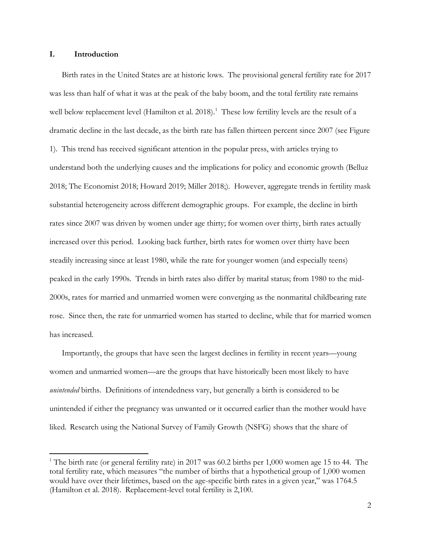### **I. Introduction**

 $\overline{a}$ 

Birth rates in the United States are at historic lows. The provisional general fertility rate for 2017 was less than half of what it was at the peak of the baby boom, and the total fertility rate remains well below replacement level (Hamilton et al. 20[1](#page-2-0)8).<sup>1</sup> These low fertility levels are the result of a dramatic decline in the last decade, as the birth rate has fallen thirteen percent since 2007 (see Figure 1). This trend has received significant attention in the popular press, with articles trying to understand both the underlying causes and the implications for policy and economic growth (Belluz 2018; The Economist 2018; Howard 2019; Miller 2018;). However, aggregate trends in fertility mask substantial heterogeneity across different demographic groups. For example, the decline in birth rates since 2007 was driven by women under age thirty; for women over thirty, birth rates actually increased over this period. Looking back further, birth rates for women over thirty have been steadily increasing since at least 1980, while the rate for younger women (and especially teens) peaked in the early 1990s. Trends in birth rates also differ by marital status; from 1980 to the mid-2000s, rates for married and unmarried women were converging as the nonmarital childbearing rate rose. Since then, the rate for unmarried women has started to decline, while that for married women has increased.

Importantly, the groups that have seen the largest declines in fertility in recent years—young women and unmarried women—are the groups that have historically been most likely to have *unintended* births. Definitions of intendedness vary, but generally a birth is considered to be unintended if either the pregnancy was unwanted or it occurred earlier than the mother would have liked. Research using the National Survey of Family Growth (NSFG) shows that the share of

<span id="page-2-0"></span><sup>&</sup>lt;sup>1</sup> The birth rate (or general fertility rate) in 2017 was 60.2 births per 1,000 women age 15 to 44. The total fertility rate, which measures "the number of births that a hypothetical group of 1,000 women would have over their lifetimes, based on the age-specific birth rates in a given year," was 1764.5 (Hamilton et al. 2018). Replacement-level total fertility is 2,100.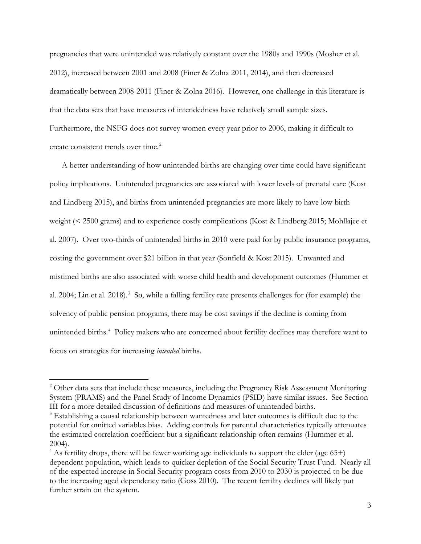pregnancies that were unintended was relatively constant over the 1980s and 1990s (Mosher et al. 2012), increased between 2001 and 2008 (Finer & Zolna 2011, 2014), and then decreased dramatically between 2008-2011 (Finer & Zolna 2016). However, one challenge in this literature is that the data sets that have measures of intendedness have relatively small sample sizes. Furthermore, the NSFG does not survey women every year prior to 2006, making it difficult to create consistent trends over time.<sup>[2](#page-3-0)</sup>

A better understanding of how unintended births are changing over time could have significant policy implications. Unintended pregnancies are associated with lower levels of prenatal care (Kost and Lindberg 2015), and births from unintended pregnancies are more likely to have low birth weight (< 2500 grams) and to experience costly complications (Kost & Lindberg 2015; Mohllajee et al. 2007). Over two-thirds of unintended births in 2010 were paid for by public insurance programs, costing the government over \$21 billion in that year (Sonfield & Kost 2015). Unwanted and mistimed births are also associated with worse child health and development outcomes (Hummer et al. 2004; Lin et al. 2018).<sup>[3](#page-3-1)</sup> So, while a falling fertility rate presents challenges for (for example) the solvency of public pension programs, there may be cost savings if the decline is coming from unintended births.<sup>[4](#page-3-2)</sup> Policy makers who are concerned about fertility declines may therefore want to focus on strategies for increasing *intended* births.

 $\overline{a}$ 

<span id="page-3-0"></span><sup>&</sup>lt;sup>2</sup> Other data sets that include these measures, including the Pregnancy Risk Assessment Monitoring System (PRAMS) and the Panel Study of Income Dynamics (PSID) have similar issues. See Section III for a more detailed discussion of definitions and measures of unintended births.

<span id="page-3-1"></span><sup>&</sup>lt;sup>3</sup> Establishing a causal relationship between wantedness and later outcomes is difficult due to the potential for omitted variables bias. Adding controls for parental characteristics typically attenuates the estimated correlation coefficient but a significant relationship often remains (Hummer et al. 2004).

<span id="page-3-2"></span> $4$  As fertility drops, there will be fewer working age individuals to support the elder (age 65+) dependent population, which leads to quicker depletion of the Social Security Trust Fund. Nearly all of the expected increase in Social Security program costs from 2010 to 2030 is projected to be due to the increasing aged dependency ratio (Goss 2010). The recent fertility declines will likely put further strain on the system.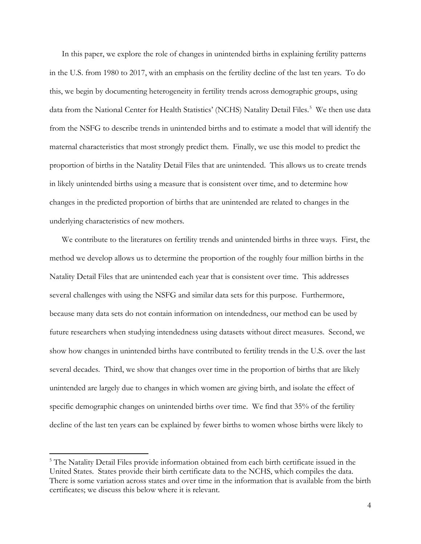In this paper, we explore the role of changes in unintended births in explaining fertility patterns in the U.S. from 1980 to 2017, with an emphasis on the fertility decline of the last ten years. To do this, we begin by documenting heterogeneity in fertility trends across demographic groups, using data from the National Center for Health Statistics' (NCHS) Natality Detail Files.<sup>[5](#page-4-0)</sup> We then use data from the NSFG to describe trends in unintended births and to estimate a model that will identify the maternal characteristics that most strongly predict them. Finally, we use this model to predict the proportion of births in the Natality Detail Files that are unintended. This allows us to create trends in likely unintended births using a measure that is consistent over time, and to determine how changes in the predicted proportion of births that are unintended are related to changes in the underlying characteristics of new mothers.

We contribute to the literatures on fertility trends and unintended births in three ways. First, the method we develop allows us to determine the proportion of the roughly four million births in the Natality Detail Files that are unintended each year that is consistent over time. This addresses several challenges with using the NSFG and similar data sets for this purpose. Furthermore, because many data sets do not contain information on intendedness, our method can be used by future researchers when studying intendedness using datasets without direct measures. Second, we show how changes in unintended births have contributed to fertility trends in the U.S. over the last several decades. Third, we show that changes over time in the proportion of births that are likely unintended are largely due to changes in which women are giving birth, and isolate the effect of specific demographic changes on unintended births over time. We find that 35% of the fertility decline of the last ten years can be explained by fewer births to women whose births were likely to

 $\overline{a}$ 

<span id="page-4-0"></span><sup>&</sup>lt;sup>5</sup> The Natality Detail Files provide information obtained from each birth certificate issued in the United States. States provide their birth certificate data to the NCHS, which compiles the data. There is some variation across states and over time in the information that is available from the birth certificates; we discuss this below where it is relevant.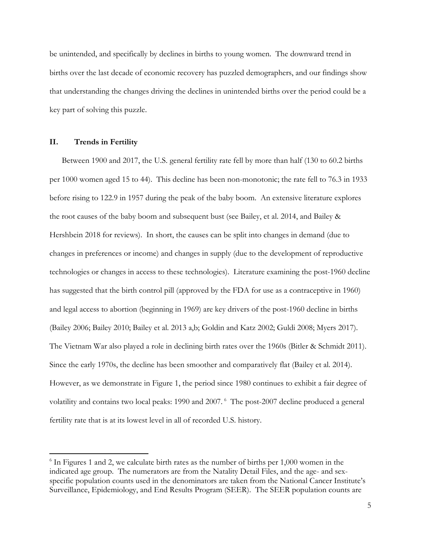be unintended, and specifically by declines in births to young women. The downward trend in births over the last decade of economic recovery has puzzled demographers, and our findings show that understanding the changes driving the declines in unintended births over the period could be a key part of solving this puzzle.

## **II. Trends in Fertility**

 $\overline{a}$ 

Between 1900 and 2017, the U.S. general fertility rate fell by more than half (130 to 60.2 births per 1000 women aged 15 to 44). This decline has been non-monotonic; the rate fell to 76.3 in 1933 before rising to 122.9 in 1957 during the peak of the baby boom. An extensive literature explores the root causes of the baby boom and subsequent bust (see Bailey, et al. 2014, and Bailey & Hershbein 2018 for reviews). In short, the causes can be split into changes in demand (due to changes in preferences or income) and changes in supply (due to the development of reproductive technologies or changes in access to these technologies). Literature examining the post-1960 decline has suggested that the birth control pill (approved by the FDA for use as a contraceptive in 1960) and legal access to abortion (beginning in 1969) are key drivers of the post-1960 decline in births (Bailey 2006; Bailey 2010; Bailey et al. 2013 a,b; Goldin and Katz 2002; Guldi 2008; Myers 2017). The Vietnam War also played a role in declining birth rates over the 1960s (Bitler & Schmidt 2011). Since the early 1970s, the decline has been smoother and comparatively flat (Bailey et al. 2014). However, as we demonstrate in Figure 1, the period since 1980 continues to exhibit a fair degree of volatility and contains two local peaks: 1990 and 2007. [6](#page-5-0) The post-2007 decline produced a general fertility rate that is at its lowest level in all of recorded U.S. history.

<span id="page-5-0"></span><sup>6</sup> In Figures 1 and 2, we calculate birth rates as the number of births per 1,000 women in the indicated age group. The numerators are from the Natality Detail Files, and the age- and sexspecific population counts used in the denominators are taken from the National Cancer Institute's Surveillance, Epidemiology, and End Results Program (SEER). The SEER population counts are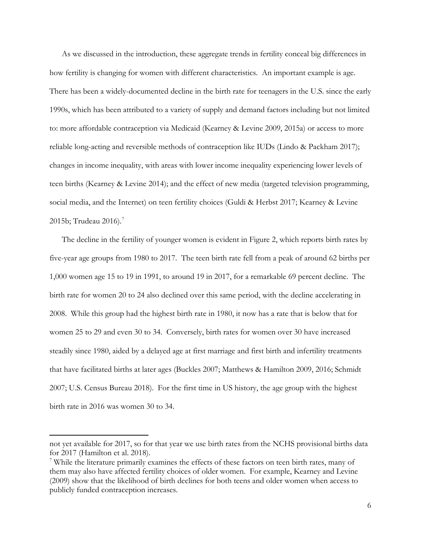As we discussed in the introduction, these aggregate trends in fertility conceal big differences in how fertility is changing for women with different characteristics. An important example is age. There has been a widely-documented decline in the birth rate for teenagers in the U.S. since the early 1990s, which has been attributed to a variety of supply and demand factors including but not limited to: more affordable contraception via Medicaid (Kearney & Levine 2009, 2015a) or access to more reliable long-acting and reversible methods of contraception like IUDs (Lindo & Packham 2017); changes in income inequality, with areas with lower income inequality experiencing lower levels of teen births (Kearney & Levine 2014); and the effect of new media (targeted television programming, social media, and the Internet) on teen fertility choices (Guldi & Herbst 2017; Kearney & Levine 2015b; Trudeau 2016). $^7$  $^7$ 

The decline in the fertility of younger women is evident in Figure 2, which reports birth rates by five-year age groups from 1980 to 2017. The teen birth rate fell from a peak of around 62 births per 1,000 women age 15 to 19 in 1991, to around 19 in 2017, for a remarkable 69 percent decline. The birth rate for women 20 to 24 also declined over this same period, with the decline accelerating in 2008. While this group had the highest birth rate in 1980, it now has a rate that is below that for women 25 to 29 and even 30 to 34. Conversely, birth rates for women over 30 have increased steadily since 1980, aided by a delayed age at first marriage and first birth and infertility treatments that have facilitated births at later ages (Buckles 2007; Matthews & Hamilton 2009, 2016; Schmidt 2007; U.S. Census Bureau 2018). For the first time in US history, the age group with the highest birth rate in 2016 was women 30 to 34.

 $\overline{a}$ 

not yet available for 2017, so for that year we use birth rates from the NCHS provisional births data for 2017 (Hamilton et al. 2018).

<span id="page-6-0"></span><sup>7</sup> While the literature primarily examines the effects of these factors on teen birth rates, many of them may also have affected fertility choices of older women. For example, Kearney and Levine (2009) show that the likelihood of birth declines for both teens and older women when access to publicly funded contraception increases.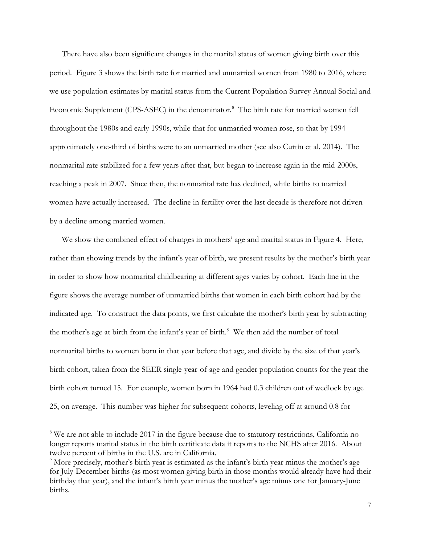There have also been significant changes in the marital status of women giving birth over this period. Figure 3 shows the birth rate for married and unmarried women from 1980 to 2016, where we use population estimates by marital status from the Current Population Survey Annual Social and Economic Supplement (CPS-ASEC) in the denominator.<sup>[8](#page-7-0)</sup> The birth rate for married women fell throughout the 1980s and early 1990s, while that for unmarried women rose, so that by 1994 approximately one-third of births were to an unmarried mother (see also Curtin et al. 2014). The nonmarital rate stabilized for a few years after that, but began to increase again in the mid-2000s, reaching a peak in 2007. Since then, the nonmarital rate has declined, while births to married women have actually increased. The decline in fertility over the last decade is therefore not driven by a decline among married women.

We show the combined effect of changes in mothers' age and marital status in Figure 4. Here, rather than showing trends by the infant's year of birth, we present results by the mother's birth year in order to show how nonmarital childbearing at different ages varies by cohort. Each line in the figure shows the average number of unmarried births that women in each birth cohort had by the indicated age. To construct the data points, we first calculate the mother's birth year by subtracting the mother's age at birth from the infant's year of birth.<sup>[9](#page-7-1)</sup> We then add the number of total nonmarital births to women born in that year before that age, and divide by the size of that year's birth cohort, taken from the SEER single-year-of-age and gender population counts for the year the birth cohort turned 15. For example, women born in 1964 had 0.3 children out of wedlock by age 25, on average. This number was higher for subsequent cohorts, leveling off at around 0.8 for

l

<span id="page-7-0"></span><sup>&</sup>lt;sup>8</sup> We are not able to include 2017 in the figure because due to statutory restrictions, California no longer reports marital status in the birth certificate data it reports to the NCHS after 2016. About twelve percent of births in the U.S. are in California.

<span id="page-7-1"></span><sup>&</sup>lt;sup>9</sup> More precisely, mother's birth year is estimated as the infant's birth year minus the mother's age for July-December births (as most women giving birth in those months would already have had their birthday that year), and the infant's birth year minus the mother's age minus one for January-June births.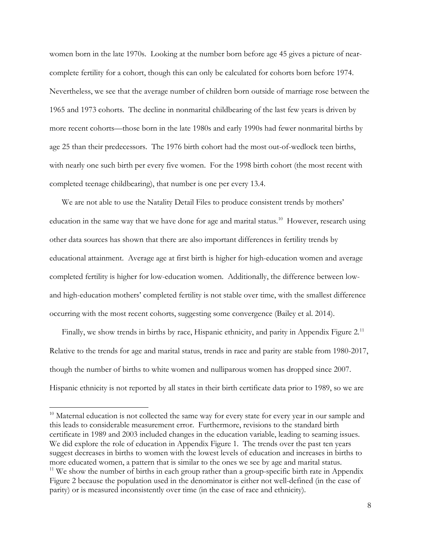women born in the late 1970s. Looking at the number born before age 45 gives a picture of nearcomplete fertility for a cohort, though this can only be calculated for cohorts born before 1974. Nevertheless, we see that the average number of children born outside of marriage rose between the 1965 and 1973 cohorts. The decline in nonmarital childbearing of the last few years is driven by more recent cohorts—those born in the late 1980s and early 1990s had fewer nonmarital births by age 25 than their predecessors. The 1976 birth cohort had the most out-of-wedlock teen births, with nearly one such birth per every five women. For the 1998 birth cohort (the most recent with completed teenage childbearing), that number is one per every 13.4.

We are not able to use the Natality Detail Files to produce consistent trends by mothers' education in the same way that we have done for age and marital status.<sup>[10](#page-8-0)</sup> However, research using other data sources has shown that there are also important differences in fertility trends by educational attainment. Average age at first birth is higher for high-education women and average completed fertility is higher for low-education women. Additionally, the difference between lowand high-education mothers' completed fertility is not stable over time, with the smallest difference occurring with the most recent cohorts, suggesting some convergence (Bailey et al. 2014).

Finally, we show trends in births by race, Hispanic ethnicity, and parity in Appendix Figure  $2<sup>11</sup>$ Relative to the trends for age and marital status, trends in race and parity are stable from 1980-2017, though the number of births to white women and nulliparous women has dropped since 2007. Hispanic ethnicity is not reported by all states in their birth certificate data prior to 1989, so we are

l

<span id="page-8-1"></span><span id="page-8-0"></span> $10$  Maternal education is not collected the same way for every state for every year in our sample and this leads to considerable measurement error. Furthermore, revisions to the standard birth certificate in 1989 and 2003 included changes in the education variable, leading to seaming issues. We did explore the role of education in Appendix Figure 1. The trends over the past ten years suggest decreases in births to women with the lowest levels of education and increases in births to more educated women, a pattern that is similar to the ones we see by age and marital status.  $11$  We show the number of births in each group rather than a group-specific birth rate in Appendix Figure 2 because the population used in the denominator is either not well-defined (in the case of parity) or is measured inconsistently over time (in the case of race and ethnicity).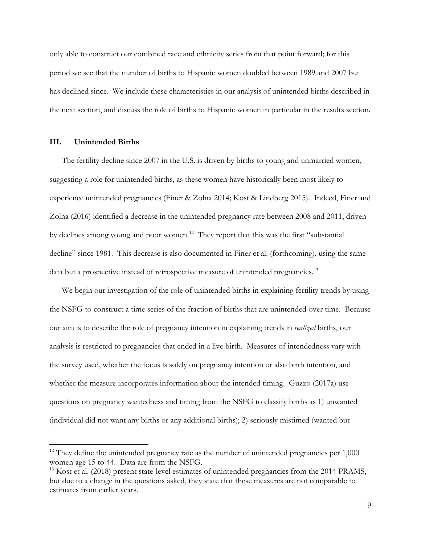only able to construct our combined race and ethnicity series from that point forward; for this period we see that the number of births to Hispanic women doubled between 1989 and 2007 but has declined since. We include these characteristics in our analysis of unintended births described in the next section, and discuss the role of births to Hispanic women in particular in the results section.

### **III. Unintended Births**

l

The fertility decline since 2007 in the U.S. is driven by births to young and unmarried women, suggesting a role for unintended births, as these women have historically been most likely to experience unintended pregnancies (Finer & Zolna 2014; Kost & Lindberg 2015). Indeed, Finer and Zolna (2016) identified a decrease in the unintended pregnancy rate between 2008 and 2011, driven by declines among young and poor women.<sup>12</sup> They report that this was the first "substantial" decline" since 1981. This decrease is also documented in Finer et al. (forthcoming), using the same data but a prospective instead of retrospective measure of unintended pregnancies.<sup>[13](#page-9-1)</sup>

We begin our investigation of the role of unintended births in explaining fertility trends by using the NSFG to construct a time series of the fraction of births that are unintended over time. Because our aim is to describe the role of pregnancy intention in explaining trends in *realized* births, our analysis is restricted to pregnancies that ended in a live birth. Measures of intendedness vary with the survey used, whether the focus is solely on pregnancy intention or also birth intention, and whether the measure incorporates information about the intended timing. Guzzo (2017a) use questions on pregnancy wantedness and timing from the NSFG to classify births as 1) unwanted (individual did not want any births or any additional births); 2) seriously mistimed (wanted but

<span id="page-9-0"></span> $12$  They define the unintended pregnancy rate as the number of unintended pregnancies per  $1,000$ women age 15 to 44. Data are from the NSFG.

<span id="page-9-1"></span><sup>&</sup>lt;sup>13</sup> Kost et al. (2018) present state-level estimates of unintended pregnancies from the 2014 PRAMS, but due to a change in the questions asked, they state that these measures are not comparable to estimates from earlier years.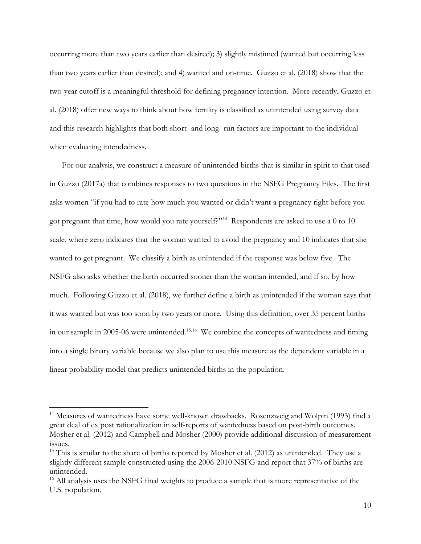occurring more than two years earlier than desired); 3) slightly mistimed (wanted but occurring less than two years earlier than desired); and 4) wanted and on-time. Guzzo et al. (2018) show that the two-year cutoff is a meaningful threshold for defining pregnancy intention. More recently, Guzzo et al. (2018) offer new ways to think about how fertility is classified as unintended using survey data and this research highlights that both short- and long- run factors are important to the individual when evaluating intendedness.

For our analysis, we construct a measure of unintended births that is similar in spirit to that used in Guzzo (2017a) that combines responses to two questions in the NSFG Pregnancy Files. The first asks women "if you had to rate how much you wanted or didn't want a pregnancy right before you got pregnant that time, how would you rate yourself?"<sup>[14](#page-10-0)</sup> Respondents are asked to use a 0 to 10 scale, where zero indicates that the woman wanted to avoid the pregnancy and 10 indicates that she wanted to get pregnant. We classify a birth as unintended if the response was below five. The NSFG also asks whether the birth occurred sooner than the woman intended, and if so, by how much. Following Guzzo et al. (2018), we further define a birth as unintended if the woman says that it was wanted but was too soon by two years or more. Using this definition, over 35 percent births in our sample in 2005-06 were unintended.<sup>[15,](#page-10-1)[16](#page-10-2)</sup> We combine the concepts of wantedness and timing into a single binary variable because we also plan to use this measure as the dependent variable in a linear probability model that predicts unintended births in the population.

l

<span id="page-10-0"></span><sup>&</sup>lt;sup>14</sup> Measures of wantedness have some well-known drawbacks. Rosenzweig and Wolpin (1993) find a great deal of ex post rationalization in self-reports of wantedness based on post-birth outcomes. Mosher et al. (2012) and Campbell and Mosher (2000) provide additional discussion of measurement issues.

<span id="page-10-1"></span> $15$  This is similar to the share of births reported by Mosher et al. (2012) as unintended. They use a slightly different sample constructed using the 2006-2010 NSFG and report that 37% of births are unintended.

<span id="page-10-2"></span><sup>&</sup>lt;sup>16</sup> All analysis uses the NSFG final weights to produce a sample that is more representative of the U.S. population.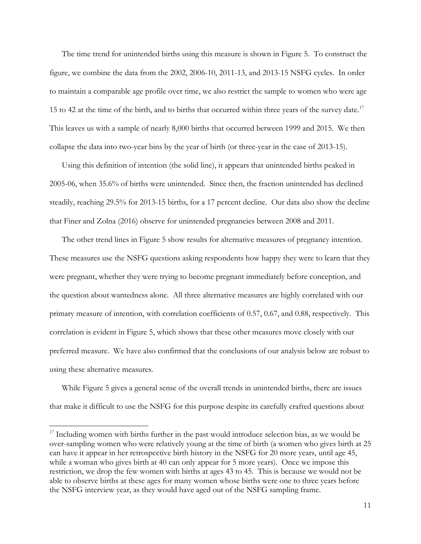The time trend for unintended births using this measure is shown in Figure 5. To construct the figure, we combine the data from the 2002, 2006-10, 2011-13, and 2013-15 NSFG cycles. In order to maintain a comparable age profile over time, we also restrict the sample to women who were age 15 to 42 at the time of the birth, and to births that occurred within three years of the survey date.<sup>[17](#page-11-0)</sup> This leaves us with a sample of nearly 8,000 births that occurred between 1999 and 2015. We then collapse the data into two-year bins by the year of birth (or three-year in the case of 2013-15).

Using this definition of intention (the solid line), it appears that unintended births peaked in 2005-06, when 35.6% of births were unintended. Since then, the fraction unintended has declined steadily, reaching 29.5% for 2013-15 births, for a 17 percent decline. Our data also show the decline that Finer and Zolna (2016) observe for unintended pregnancies between 2008 and 2011.

The other trend lines in Figure 5 show results for alternative measures of pregnancy intention. These measures use the NSFG questions asking respondents how happy they were to learn that they were pregnant, whether they were trying to become pregnant immediately before conception, and the question about wantedness alone. All three alternative measures are highly correlated with our primary measure of intention, with correlation coefficients of 0.57, 0.67, and 0.88, respectively. This correlation is evident in Figure 5, which shows that these other measures move closely with our preferred measure. We have also confirmed that the conclusions of our analysis below are robust to using these alternative measures.

While Figure 5 gives a general sense of the overall trends in unintended births, there are issues that make it difficult to use the NSFG for this purpose despite its carefully crafted questions about

l

<span id="page-11-0"></span> $17$  Including women with births further in the past would introduce selection bias, as we would be over-sampling women who were relatively young at the time of birth (a women who gives birth at 25 can have it appear in her retrospective birth history in the NSFG for 20 more years, until age 45, while a woman who gives birth at 40 can only appear for 5 more years). Once we impose this restriction, we drop the few women with births at ages 43 to 45. This is because we would not be able to observe births at these ages for many women whose births were one to three years before the NSFG interview year, as they would have aged out of the NSFG sampling frame.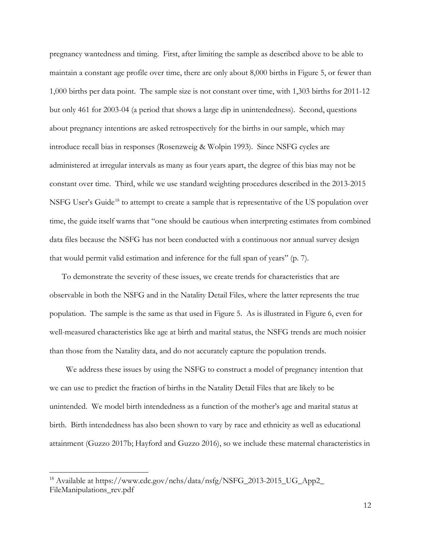pregnancy wantedness and timing. First, after limiting the sample as described above to be able to maintain a constant age profile over time, there are only about 8,000 births in Figure 5, or fewer than 1,000 births per data point. The sample size is not constant over time, with 1,303 births for 2011-12 but only 461 for 2003-04 (a period that shows a large dip in unintendedness). Second, questions about pregnancy intentions are asked retrospectively for the births in our sample, which may introduce recall bias in responses (Rosenzweig & Wolpin 1993). Since NSFG cycles are administered at irregular intervals as many as four years apart, the degree of this bias may not be constant over time. Third, while we use standard weighting procedures described in the 2013-2015 NSFG User's Guide<sup>[18](#page-12-0)</sup> to attempt to create a sample that is representative of the US population over time, the guide itself warns that "one should be cautious when interpreting estimates from combined data files because the NSFG has not been conducted with a continuous nor annual survey design that would permit valid estimation and inference for the full span of years" (p. 7).

To demonstrate the severity of these issues, we create trends for characteristics that are observable in both the NSFG and in the Natality Detail Files, where the latter represents the true population. The sample is the same as that used in Figure 5. As is illustrated in Figure 6, even for well-measured characteristics like age at birth and marital status, the NSFG trends are much noisier than those from the Natality data, and do not accurately capture the population trends.

 We address these issues by using the NSFG to construct a model of pregnancy intention that we can use to predict the fraction of births in the Natality Detail Files that are likely to be unintended. We model birth intendedness as a function of the mother's age and marital status at birth. Birth intendedness has also been shown to vary by race and ethnicity as well as educational attainment (Guzzo 2017b; Hayford and Guzzo 2016), so we include these maternal characteristics in

 $\overline{a}$ 

<span id="page-12-0"></span><sup>&</sup>lt;sup>18</sup> Available at https://www.cdc.gov/nchs/data/nsfg/NSFG\_2013-2015\_UG\_App2\_ FileManipulations\_rev.pdf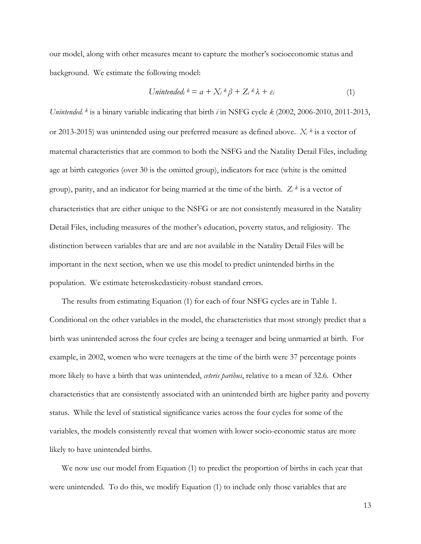our model, along with other measures meant to capture the mother's socioeconomic status and background. We estimate the following model:

$$
Unintended_i k = a + X_i k \beta + Z_i k \lambda + \varepsilon_i
$$
\n<sup>(1)</sup>

*Unintendedi <sup>k</sup>* is a binary variable indicating that birth *i* in NSFG cycle *k* (2002, 2006-2010, 2011-2013, or 2013-2015) was unintended using our preferred measure as defined above. *Xi <sup>k</sup>* is a vector of maternal characteristics that are common to both the NSFG and the Natality Detail Files, including age at birth categories (over 30 is the omitted group), indicators for race (white is the omitted group), parity, and an indicator for being married at the time of the birth. *Zi <sup>k</sup>* is a vector of characteristics that are either unique to the NSFG or are not consistently measured in the Natality Detail Files, including measures of the mother's education, poverty status, and religiosity. The distinction between variables that are and are not available in the Natality Detail Files will be important in the next section, when we use this model to predict unintended births in the population. We estimate heteroskedasticity-robust standard errors.

The results from estimating Equation (1) for each of four NSFG cycles are in Table 1. Conditional on the other variables in the model, the characteristics that most strongly predict that a birth was unintended across the four cycles are being a teenager and being unmarried at birth. For example, in 2002, women who were teenagers at the time of the birth were 37 percentage points more likely to have a birth that was unintended, *ceteris paribus*, relative to a mean of 32.6. Other characteristics that are consistently associated with an unintended birth are higher parity and poverty status. While the level of statistical significance varies across the four cycles for some of the variables, the models consistently reveal that women with lower socio-economic status are more likely to have unintended births.

We now use our model from Equation (1) to predict the proportion of births in each year that were unintended. To do this, we modify Equation (1) to include only those variables that are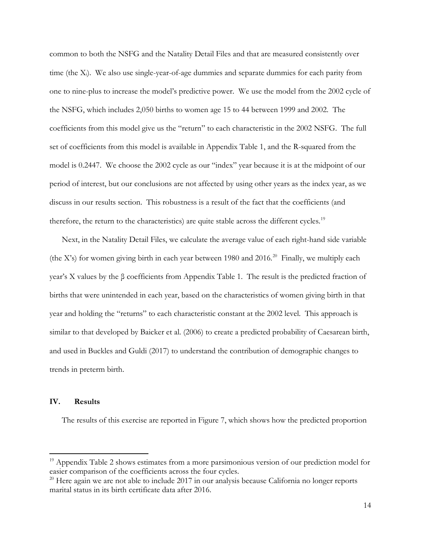common to both the NSFG and the Natality Detail Files and that are measured consistently over time (the Xi). We also use single-year-of-age dummies and separate dummies for each parity from one to nine-plus to increase the model's predictive power. We use the model from the 2002 cycle of the NSFG, which includes 2,050 births to women age 15 to 44 between 1999 and 2002. The coefficients from this model give us the "return" to each characteristic in the 2002 NSFG. The full set of coefficients from this model is available in Appendix Table 1, and the R-squared from the model is 0.2447. We choose the 2002 cycle as our "index" year because it is at the midpoint of our period of interest, but our conclusions are not affected by using other years as the index year, as we discuss in our results section. This robustness is a result of the fact that the coefficients (and therefore, the return to the characteristics) are quite stable across the different cycles.<sup>[19](#page-14-0)</sup>

Next, in the Natality Detail Files, we calculate the average value of each right-hand side variable (the X's) for women giving birth in each year between 1980 and [20](#page-14-1)16.<sup>20</sup> Finally, we multiply each year's X values by the β coefficients from Appendix Table 1. The result is the predicted fraction of births that were unintended in each year, based on the characteristics of women giving birth in that year and holding the "returns" to each characteristic constant at the 2002 level. This approach is similar to that developed by Baicker et al. (2006) to create a predicted probability of Caesarean birth, and used in Buckles and Guldi (2017) to understand the contribution of demographic changes to trends in preterm birth.

### **IV. Results**

 $\overline{a}$ 

The results of this exercise are reported in Figure 7, which shows how the predicted proportion

<span id="page-14-0"></span> $19$  Appendix Table 2 shows estimates from a more parsimonious version of our prediction model for easier comparison of the coefficients across the four cycles.

<span id="page-14-1"></span> $20$  Here again we are not able to include 2017 in our analysis because California no longer reports marital status in its birth certificate data after 2016.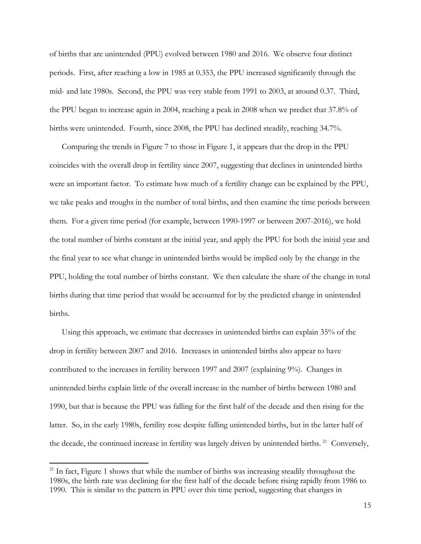of births that are unintended (PPU) evolved between 1980 and 2016. We observe four distinct periods. First, after reaching a low in 1985 at 0.353, the PPU increased significantly through the mid- and late 1980s. Second, the PPU was very stable from 1991 to 2003, at around 0.37. Third, the PPU began to increase again in 2004, reaching a peak in 2008 when we predict that 37.8% of births were unintended. Fourth, since 2008, the PPU has declined steadily, reaching 34.7%.

Comparing the trends in Figure 7 to those in Figure 1, it appears that the drop in the PPU coincides with the overall drop in fertility since 2007, suggesting that declines in unintended births were an important factor. To estimate how much of a fertility change can be explained by the PPU, we take peaks and troughs in the number of total births, and then examine the time periods between them. For a given time period (for example, between 1990-1997 or between 2007-2016), we hold the total number of births constant at the initial year, and apply the PPU for both the initial year and the final year to see what change in unintended births would be implied only by the change in the PPU, holding the total number of births constant. We then calculate the share of the change in total births during that time period that would be accounted for by the predicted change in unintended births.

Using this approach, we estimate that decreases in unintended births can explain 35% of the drop in fertility between 2007 and 2016. Increases in unintended births also appear to have contributed to the increases in fertility between 1997 and 2007 (explaining 9%). Changes in unintended births explain little of the overall increase in the number of births between 1980 and 1990, but that is because the PPU was falling for the first half of the decade and then rising for the latter. So, in the early 1980s, fertility rose despite falling unintended births, but in the latter half of the decade, the continued increase in fertility was largely driven by unintended births.<sup>21</sup> Conversely,

l

<span id="page-15-0"></span><sup>&</sup>lt;sup>21</sup> In fact, Figure 1 shows that while the number of births was increasing steadily throughout the 1980s, the birth rate was declining for the first half of the decade before rising rapidly from 1986 to 1990. This is similar to the pattern in PPU over this time period, suggesting that changes in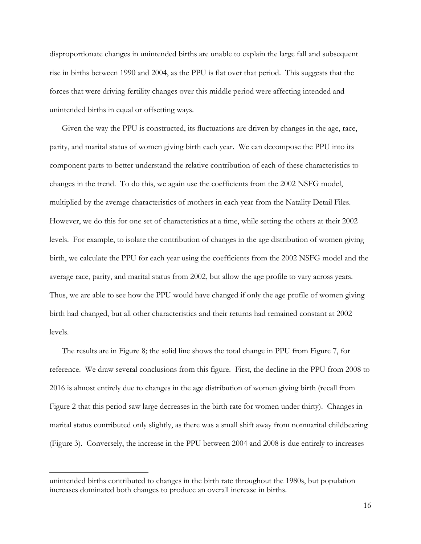disproportionate changes in unintended births are unable to explain the large fall and subsequent rise in births between 1990 and 2004, as the PPU is flat over that period. This suggests that the forces that were driving fertility changes over this middle period were affecting intended and unintended births in equal or offsetting ways.

Given the way the PPU is constructed, its fluctuations are driven by changes in the age, race, parity, and marital status of women giving birth each year. We can decompose the PPU into its component parts to better understand the relative contribution of each of these characteristics to changes in the trend. To do this, we again use the coefficients from the 2002 NSFG model, multiplied by the average characteristics of mothers in each year from the Natality Detail Files. However, we do this for one set of characteristics at a time, while setting the others at their 2002 levels. For example, to isolate the contribution of changes in the age distribution of women giving birth, we calculate the PPU for each year using the coefficients from the 2002 NSFG model and the average race, parity, and marital status from 2002, but allow the age profile to vary across years. Thus, we are able to see how the PPU would have changed if only the age profile of women giving birth had changed, but all other characteristics and their returns had remained constant at 2002 levels.

The results are in Figure 8; the solid line shows the total change in PPU from Figure 7, for reference. We draw several conclusions from this figure. First, the decline in the PPU from 2008 to 2016 is almost entirely due to changes in the age distribution of women giving birth (recall from Figure 2 that this period saw large decreases in the birth rate for women under thirty). Changes in marital status contributed only slightly, as there was a small shift away from nonmarital childbearing (Figure 3). Conversely, the increase in the PPU between 2004 and 2008 is due entirely to increases

 $\overline{a}$ 

unintended births contributed to changes in the birth rate throughout the 1980s, but population increases dominated both changes to produce an overall increase in births.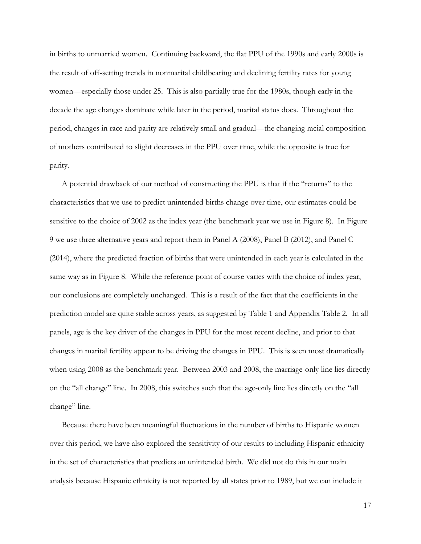in births to unmarried women. Continuing backward, the flat PPU of the 1990s and early 2000s is the result of off-setting trends in nonmarital childbearing and declining fertility rates for young women—especially those under 25. This is also partially true for the 1980s, though early in the decade the age changes dominate while later in the period, marital status does. Throughout the period, changes in race and parity are relatively small and gradual—the changing racial composition of mothers contributed to slight decreases in the PPU over time, while the opposite is true for parity.

A potential drawback of our method of constructing the PPU is that if the "returns" to the characteristics that we use to predict unintended births change over time, our estimates could be sensitive to the choice of 2002 as the index year (the benchmark year we use in Figure 8). In Figure 9 we use three alternative years and report them in Panel A (2008), Panel B (2012), and Panel C (2014), where the predicted fraction of births that were unintended in each year is calculated in the same way as in Figure 8. While the reference point of course varies with the choice of index year, our conclusions are completely unchanged. This is a result of the fact that the coefficients in the prediction model are quite stable across years, as suggested by Table 1 and Appendix Table 2. In all panels, age is the key driver of the changes in PPU for the most recent decline, and prior to that changes in marital fertility appear to be driving the changes in PPU. This is seen most dramatically when using 2008 as the benchmark year. Between 2003 and 2008, the marriage-only line lies directly on the "all change" line. In 2008, this switches such that the age-only line lies directly on the "all change" line.

Because there have been meaningful fluctuations in the number of births to Hispanic women over this period, we have also explored the sensitivity of our results to including Hispanic ethnicity in the set of characteristics that predicts an unintended birth. We did not do this in our main analysis because Hispanic ethnicity is not reported by all states prior to 1989, but we can include it

17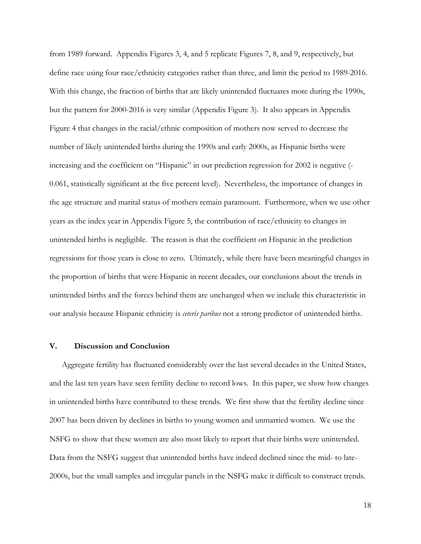from 1989 forward. Appendix Figures 3, 4, and 5 replicate Figures 7, 8, and 9, respectively, but define race using four race/ethnicity categories rather than three, and limit the period to 1989-2016. With this change, the fraction of births that are likely unintended fluctuates more during the 1990s, but the pattern for 2000-2016 is very similar (Appendix Figure 3). It also appears in Appendix Figure 4 that changes in the racial/ethnic composition of mothers now served to decrease the number of likely unintended births during the 1990s and early 2000s, as Hispanic births were increasing and the coefficient on "Hispanic" in our prediction regression for 2002 is negative (- 0.061, statistically significant at the five percent level). Nevertheless, the importance of changes in the age structure and marital status of mothers remain paramount. Furthermore, when we use other years as the index year in Appendix Figure 5, the contribution of race/ethnicity to changes in unintended births is negligible. The reason is that the coefficient on Hispanic in the prediction regressions for those years is close to zero. Ultimately, while there have been meaningful changes in the proportion of births that were Hispanic in recent decades, our conclusions about the trends in unintended births and the forces behind them are unchanged when we include this characteristic in our analysis because Hispanic ethnicity is *ceteris paribus* not a strong predictor of unintended births.

### **V. Discussion and Conclusion**

Aggregate fertility has fluctuated considerably over the last several decades in the United States, and the last ten years have seen fertility decline to record lows. In this paper, we show how changes in unintended births have contributed to these trends. We first show that the fertility decline since 2007 has been driven by declines in births to young women and unmarried women. We use the NSFG to show that these women are also most likely to report that their births were unintended. Data from the NSFG suggest that unintended births have indeed declined since the mid- to late-2000s, but the small samples and irregular panels in the NSFG make it difficult to construct trends.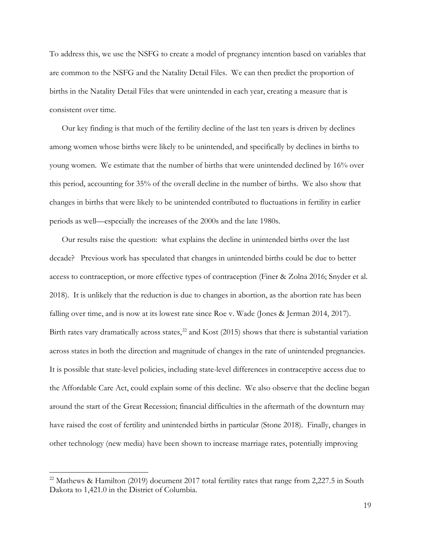To address this, we use the NSFG to create a model of pregnancy intention based on variables that are common to the NSFG and the Natality Detail Files. We can then predict the proportion of births in the Natality Detail Files that were unintended in each year, creating a measure that is consistent over time.

Our key finding is that much of the fertility decline of the last ten years is driven by declines among women whose births were likely to be unintended, and specifically by declines in births to young women. We estimate that the number of births that were unintended declined by 16% over this period, accounting for 35% of the overall decline in the number of births. We also show that changes in births that were likely to be unintended contributed to fluctuations in fertility in earlier periods as well—especially the increases of the 2000s and the late 1980s.

Our results raise the question: what explains the decline in unintended births over the last decade? Previous work has speculated that changes in unintended births could be due to better access to contraception, or more effective types of contraception (Finer & Zolna 2016; Snyder et al. 2018). It is unlikely that the reduction is due to changes in abortion, as the abortion rate has been falling over time, and is now at its lowest rate since Roe v. Wade (Jones & Jerman 2014, 2017). Birth rates vary dramatically across states,<sup>22</sup> and Kost (2015) shows that there is substantial variation across states in both the direction and magnitude of changes in the rate of unintended pregnancies. It is possible that state-level policies, including state-level differences in contraceptive access due to the Affordable Care Act, could explain some of this decline. We also observe that the decline began around the start of the Great Recession; financial difficulties in the aftermath of the downturn may have raised the cost of fertility and unintended births in particular (Stone 2018). Finally, changes in other technology (new media) have been shown to increase marriage rates, potentially improving

 $\overline{a}$ 

<span id="page-19-0"></span><sup>&</sup>lt;sup>22</sup> Mathews & Hamilton (2019) document 2017 total fertility rates that range from 2,227.5 in South Dakota to 1,421.0 in the District of Columbia.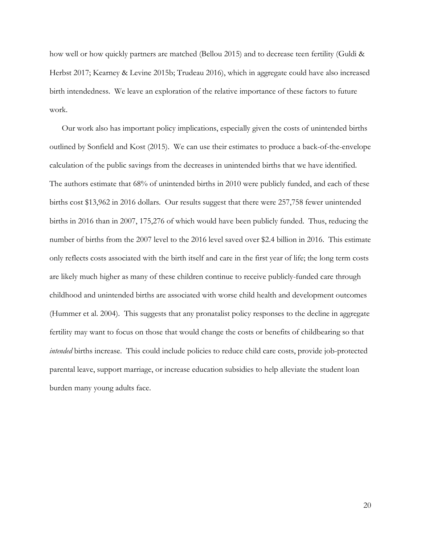how well or how quickly partners are matched (Bellou 2015) and to decrease teen fertility (Guldi & Herbst 2017; Kearney & Levine 2015b; Trudeau 2016), which in aggregate could have also increased birth intendedness. We leave an exploration of the relative importance of these factors to future work.

Our work also has important policy implications, especially given the costs of unintended births outlined by Sonfield and Kost (2015). We can use their estimates to produce a back-of-the-envelope calculation of the public savings from the decreases in unintended births that we have identified. The authors estimate that 68% of unintended births in 2010 were publicly funded, and each of these births cost \$13,962 in 2016 dollars. Our results suggest that there were 257,758 fewer unintended births in 2016 than in 2007, 175,276 of which would have been publicly funded. Thus, reducing the number of births from the 2007 level to the 2016 level saved over \$2.4 billion in 2016. This estimate only reflects costs associated with the birth itself and care in the first year of life; the long term costs are likely much higher as many of these children continue to receive publicly-funded care through childhood and unintended births are associated with worse child health and development outcomes (Hummer et al. 2004). This suggests that any pronatalist policy responses to the decline in aggregate fertility may want to focus on those that would change the costs or benefits of childbearing so that *intended* births increase. This could include policies to reduce child care costs, provide job-protected parental leave, support marriage, or increase education subsidies to help alleviate the student loan burden many young adults face.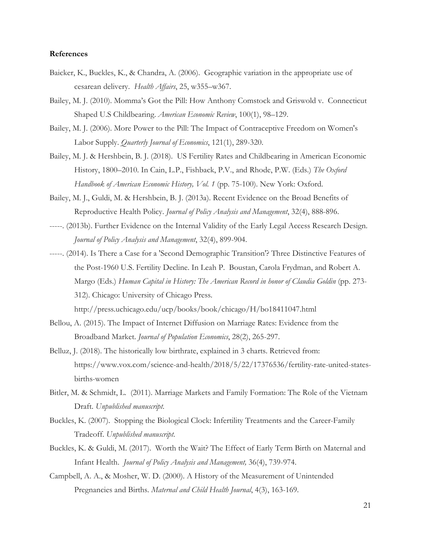#### **References**

- Baicker, K., Buckles, K., & Chandra, A. (2006). Geographic variation in the appropriate use of cesarean delivery. *Health Affairs*, 25, w355–w367.
- Bailey, M. J. (2010). Momma's Got the Pill: How Anthony Comstock and Griswold v. Connecticut Shaped U.S Childbearing. *American Economic Review*, 100(1), 98–129.
- Bailey, M. J. (2006). More Power to the Pill: The Impact of Contraceptive Freedom on Women's Labor Supply. *Quarterly Journal of Economics*, 121(1), 289-320.
- Bailey, M. J. & Hershbein, B. J. (2018). US Fertility Rates and Childbearing in American Economic History, 1800–2010. In Cain, L.P., Fishback, P.V., and Rhode, P.W. (Eds.) *The Oxford Handbook of American Economic History, Vol. 1* (pp. 75-100). New York: Oxford.
- Bailey, M. J., Guldi, M. & Hershbein, B. J. (2013a). Recent Evidence on the Broad Benefits of Reproductive Health Policy. *Journal of Policy Analysis and Management*, 32(4), 888-896.
- -----. (2013b). Further Evidence on the Internal Validity of the Early Legal Access Research Design. *Journal of Policy Analysis and Management*, 32(4), 899-904.
- -----. (2014). Is There a Case for a 'Second Demographic Transition'? Three Distinctive Features of the Post-1960 U.S. Fertility Decline. In Leah P. Boustan, Carola Frydman, and Robert A. Margo (Eds.) *Human Capital in History: The American Record in honor of Claudia Goldin* (pp. 273- 312). Chicago: University of Chicago Press.

http://press.uchicago.edu/ucp/books/book/chicago/H/bo18411047.html

- Bellou, A. (2015). The Impact of Internet Diffusion on Marriage Rates: Evidence from the Broadband Market. *Journal of Population Economics*, 28(2), 265-297.
- Belluz, J. (2018). The historically low birthrate, explained in 3 charts. Retrieved from: https://www.vox.com/science-and-health/2018/5/22/17376536/fertility-rate-united-statesbirths-women
- Bitler, M. & Schmidt, L. (2011). Marriage Markets and Family Formation: The Role of the Vietnam Draft. *Unpublished manuscript*.
- Buckles, K. (2007). Stopping the Biological Clock: Infertility Treatments and the Career-Family Tradeoff. *Unpublished manuscript*.
- Buckles, K. & Guldi, M. (2017). Worth the Wait? The Effect of Early Term Birth on Maternal and Infant Health. *Journal of Policy Analysis and Management,* 36(4), 739-974.
- Campbell, A. A., & Mosher, W. D. (2000). A History of the Measurement of Unintended Pregnancies and Births. *Maternal and Child Health Journal*, 4(3), 163-169.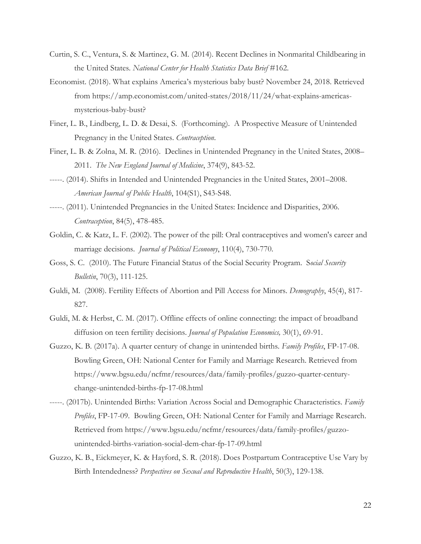- Curtin, S. C., Ventura, S. & Martinez, G. M. (2014). Recent Declines in Nonmarital Childbearing in the United States. *National Center for Health Statistics Data Brief* #162.
- Economist. (2018). What explains America's mysterious baby bust? November 24, 2018. Retrieved from https://amp.economist.com/united-states/2018/11/24/what-explains-americasmysterious-baby-bust?
- Finer, L. B., Lindberg, L. D. & Desai, S. (Forthcoming). A Prospective Measure of Unintended Pregnancy in the United States. *Contraception*.
- Finer, L. B. & Zolna, M. R. (2016). Declines in Unintended Pregnancy in the United States, 2008– 2011. *The New England Journal of Medicine*, 374(9), 843-52.
- -----. (2014). Shifts in Intended and Unintended Pregnancies in the United States, 2001–2008. *American Journal of Public Health*, 104(S1), S43-S48.
- -----. (2011). Unintended Pregnancies in the United States: Incidence and Disparities, 2006. *Contraception*, 84(5), 478-485.
- Goldin, C. & Katz, L. F. (2002). The power of the pill: Oral contraceptives and women's career and marriage decisions. *Journal of Political Economy*, 110(4), 730-770.
- Goss, S. C. (2010). The Future Financial Status of the Social Security Program. S*ocial Security Bulletin*, 70(3), 111-125.
- Guldi, M. (2008). Fertility Effects of Abortion and Pill Access for Minors. *Demography*, 45(4), 817- 827.
- Guldi, M. & Herbst, C. M. (2017). Offline effects of online connecting: the impact of broadband diffusion on teen fertility decisions. *Journal of Population Economics,* 30(1), 69-91.
- Guzzo, K. B. (2017a). A quarter century of change in unintended births. *Family Profiles*, FP-17-08. Bowling Green, OH: National Center for Family and Marriage Research. Retrieved from https://www.bgsu.edu/ncfmr/resources/data/family-profiles/guzzo-quarter-centurychange-unintended-births-fp-17-08.html
- -----. (2017b). Unintended Births: Variation Across Social and Demographic Characteristics. *Family Profiles*, FP-17-09. Bowling Green, OH: National Center for Family and Marriage Research. Retrieved from https://www.bgsu.edu/ncfmr/resources/data/family-profiles/guzzounintended-births-variation-social-dem-char-fp-17-09.html
- Guzzo, K. B., Eickmeyer, K. & Hayford, S. R. (2018). Does Postpartum Contraceptive Use Vary by Birth Intendedness? *Perspectives on Sexual and Reproductive Health*, 50(3), 129-138.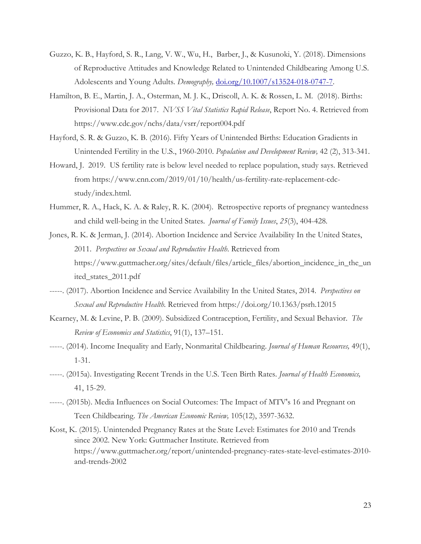- Guzzo, K. B., Hayford, S. R., Lang, V. W., Wu, H., Barber, J., & Kusunoki, Y. (2018). Dimensions of Reproductive Attitudes and Knowledge Related to Unintended Childbearing Among U.S. Adolescents and Young Adults. *Demography,* doi.org/10.1007/s13524-018-0747-7.
- Hamilton, B. E., Martin, J. A., Osterman, M. J. K., Driscoll, A. K. & Rossen, L. M. (2018). Births: Provisional Data for 2017. *NVSS Vital Statistics Rapid Release*, Report No. 4. Retrieved from https://www.cdc.gov/nchs/data/vsrr/report004.pdf
- Hayford, S. R. & Guzzo, K. B. (2016). Fifty Years of Unintended Births: Education Gradients in Unintended Fertility in the U.S., 1960-2010. *Population and Development Review,* 42 (2), 313-341.
- Howard, J. 2019. US fertility rate is below level needed to replace population, study says. Retrieved from https://www.cnn.com/2019/01/10/health/us-fertility-rate-replacement-cdcstudy/index.html.
- Hummer, R. A., Hack, K. A. & Raley, R. K. (2004). Retrospective reports of pregnancy wantedness and child well-being in the United States. *Journal of Family Issues*, *25*(3), 404-428.
- Jones, R. K. & Jerman, J. (2014). Abortion Incidence and Service Availability In the United States, 2011. *Perspectives on Sexual and Reproductive Health*. Retrieved from https://www.guttmacher.org/sites/default/files/article\_files/abortion\_incidence\_in\_the\_un ited\_states\_2011.pdf
- -----. (2017). Abortion Incidence and Service Availability In the United States, 2014. *Perspectives on Sexual and Reproductive Health.* Retrieved from https://doi.org/10.1363/psrh.12015
- Kearney, M. & Levine, P. B. (2009). Subsidized Contraception, Fertility, and Sexual Behavior. *The Review of Economics and Statistics*, 91(1), 137–151.
- -----. (2014). Income Inequality and Early, Nonmarital Childbearing. *Journal of Human Resources,* 49(1), 1-31.
- -----. (2015a). Investigating Recent Trends in the U.S. Teen Birth Rates. *Journal of Health Economics,* 41, 15-29.
- -----. (2015b). Media Influences on Social Outcomes: The Impact of MTV's 16 and Pregnant on Teen Childbearing. *The American Economic Review,* 105(12), 3597-3632.
- Kost, K. (2015). Unintended Pregnancy Rates at the State Level: Estimates for 2010 and Trends since 2002. New York: Guttmacher Institute. Retrieved from https://www.guttmacher.org/report/unintended-pregnancy-rates-state-level-estimates-2010 and-trends-2002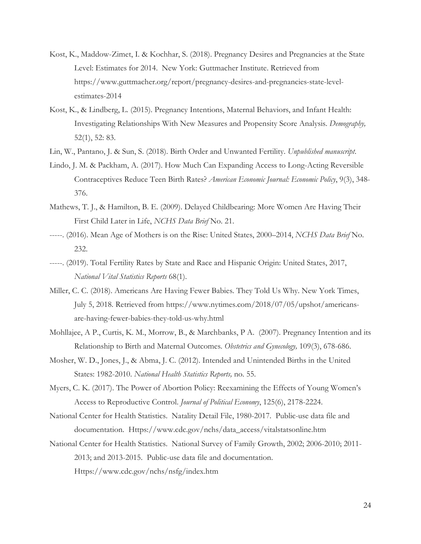- Kost, K., Maddow-Zimet, I. & Kochhar, S. (2018). Pregnancy Desires and Pregnancies at the State Level: Estimates for 2014. New York: Guttmacher Institute. Retrieved from https://www.guttmacher.org/report/pregnancy-desires-and-pregnancies-state-levelestimates-2014
- Kost, K., & Lindberg, L. (2015). Pregnancy Intentions, Maternal Behaviors, and Infant Health: Investigating Relationships With New Measures and Propensity Score Analysis. *Demography,*  52(1), 52: 83.
- Lin, W., Pantano, J. & Sun, S. (2018). Birth Order and Unwanted Fertility. *Unpublished manuscript*.
- Lindo, J. M. & Packham, A. (2017). How Much Can Expanding Access to Long-Acting Reversible Contraceptives Reduce Teen Birth Rates? *American Economic Journal: Economic Policy*, 9(3), 348- 376.
- Mathews, T. J., & Hamilton, B. E. (2009). Delayed Childbearing: More Women Are Having Their First Child Later in Life, *NCHS Data Brief* No. 21.
- -----. (2016). Mean Age of Mothers is on the Rise: United States, 2000–2014, *NCHS Data Brief* No. 232.
- -----. (2019). Total Fertility Rates by State and Race and Hispanic Origin: United States, 2017, *National Vital Statistics Reports* 68(1).
- Miller, C. C. (2018). Americans Are Having Fewer Babies. They Told Us Why. New York Times, July 5, 2018. Retrieved from https://www.nytimes.com/2018/07/05/upshot/americansare-having-fewer-babies-they-told-us-why.html
- Mohllajee, A P., Curtis, K. M., Morrow, B., & Marchbanks, P A. (2007). Pregnancy Intention and its Relationship to Birth and Maternal Outcomes. *Obstetrics and Gynecology,* 109(3), 678-686.
- Mosher, W. D., Jones, J., & Abma, J. C. (2012). Intended and Unintended Births in the United States: 1982-2010. *National Health Statistics Reports,* no. 55.
- Myers, C. K. (2017). The Power of Abortion Policy: Reexamining the Effects of Young Women's Access to Reproductive Control. *Journal of Political Economy*, 125(6), 2178-2224.
- National Center for Health Statistics. Natality Detail File, 1980-2017. Public-use data file and documentation. Https://www.cdc.gov/nchs/data\_access/vitalstatsonline.htm
- National Center for Health Statistics. National Survey of Family Growth, 2002; 2006-2010; 2011- 2013; and 2013-2015. Public-use data file and documentation. Https://www.cdc.gov/nchs/nsfg/index.htm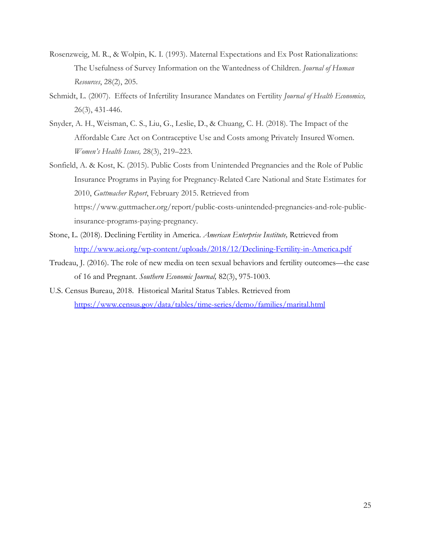- Rosenzweig, M. R., & Wolpin, K. I. (1993). Maternal Expectations and Ex Post Rationalizations: The Usefulness of Survey Information on the Wantedness of Children. *Journal of Human Resources*, 28(2), 205.
- Schmidt, L. (2007). Effects of Infertility Insurance Mandates on Fertility *Journal of Health Economics,*  26(3), 431-446.
- Snyder, A. H., Weisman, C. S., Liu, G., Leslie, D., & Chuang, C. H. (2018). The Impact of the Affordable Care Act on Contraceptive Use and Costs among Privately Insured Women. *Women's Health Issues,* 28(3), 219–223.
- Sonfield, A. & Kost, K. (2015). Public Costs from Unintended Pregnancies and the Role of Public Insurance Programs in Paying for Pregnancy-Related Care National and State Estimates for 2010, *Guttmacher Report*, February 2015. Retrieved from https://www.guttmacher.org/report/public-costs-unintended-pregnancies-and-role-publicinsurance-programs-paying-pregnancy.
- Stone, L. (2018). Declining Fertility in America. *American Enterprise Institute,* Retrieved from <http://www.aei.org/wp-content/uploads/2018/12/Declining-Fertility-in-America.pdf>
- Trudeau, J. (2016). The role of new media on teen sexual behaviors and fertility outcomes—the case of 16 and Pregnant. *Southern Economic Journal,* 82(3), 975-1003.
- U.S. Census Bureau, 2018. Historical Marital Status Tables. Retrieved from <https://www.census.gov/data/tables/time-series/demo/families/marital.html>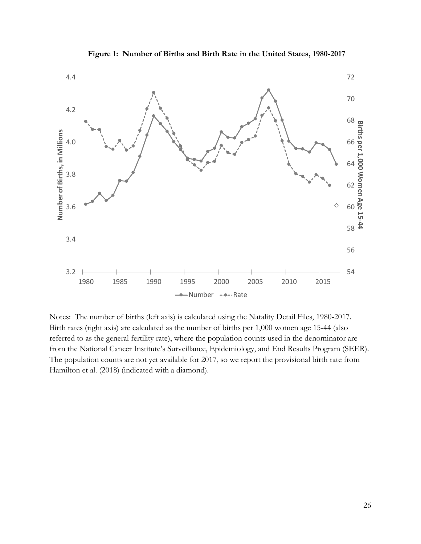

**Figure 1: Number of Births and Birth Rate in the United States, 1980-2017**

Notes: The number of births (left axis) is calculated using the Natality Detail Files, 1980-2017. Birth rates (right axis) are calculated as the number of births per 1,000 women age 15-44 (also referred to as the general fertility rate), where the population counts used in the denominator are from the National Cancer Institute's Surveillance, Epidemiology, and End Results Program (SEER). The population counts are not yet available for 2017, so we report the provisional birth rate from Hamilton et al. (2018) (indicated with a diamond).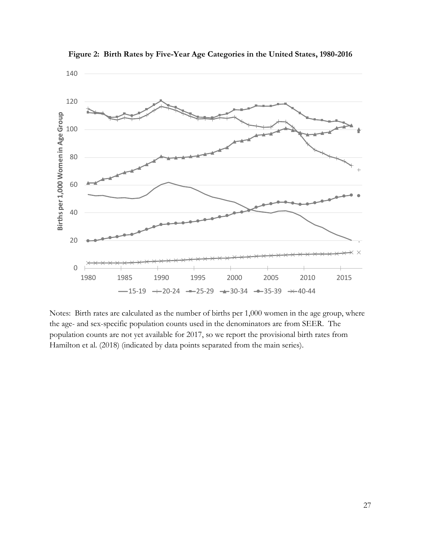

**Figure 2: Birth Rates by Five-Year Age Categories in the United States, 1980-2016**

Notes: Birth rates are calculated as the number of births per 1,000 women in the age group, where the age- and sex-specific population counts used in the denominators are from SEER. The population counts are not yet available for 2017, so we report the provisional birth rates from Hamilton et al. (2018) (indicated by data points separated from the main series).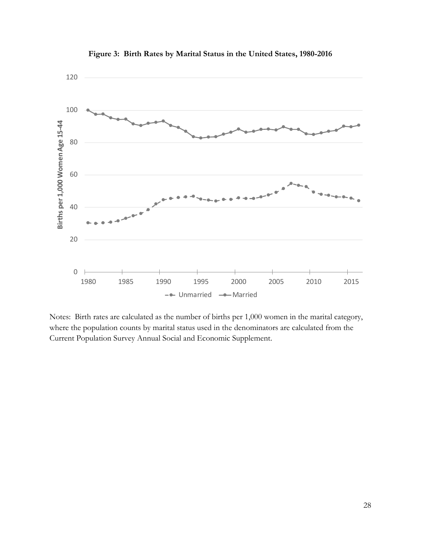

**Figure 3: Birth Rates by Marital Status in the United States, 1980-2016**

Notes: Birth rates are calculated as the number of births per 1,000 women in the marital category, where the population counts by marital status used in the denominators are calculated from the Current Population Survey Annual Social and Economic Supplement.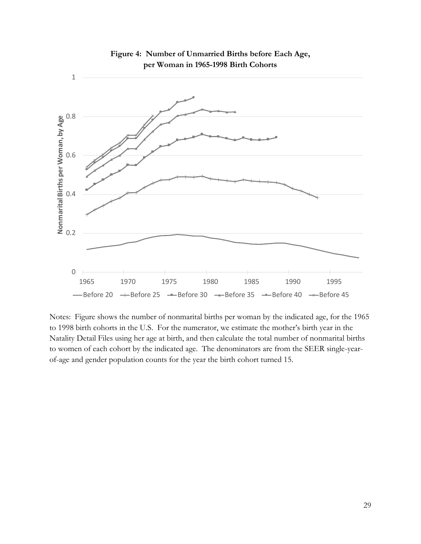

**Figure 4: Number of Unmarried Births before Each Age, per Woman in 1965-1998 Birth Cohorts**

Notes: Figure shows the number of nonmarital births per woman by the indicated age, for the 1965 to 1998 birth cohorts in the U.S. For the numerator, we estimate the mother's birth year in the Natality Detail Files using her age at birth, and then calculate the total number of nonmarital births to women of each cohort by the indicated age. The denominators are from the SEER single-yearof-age and gender population counts for the year the birth cohort turned 15.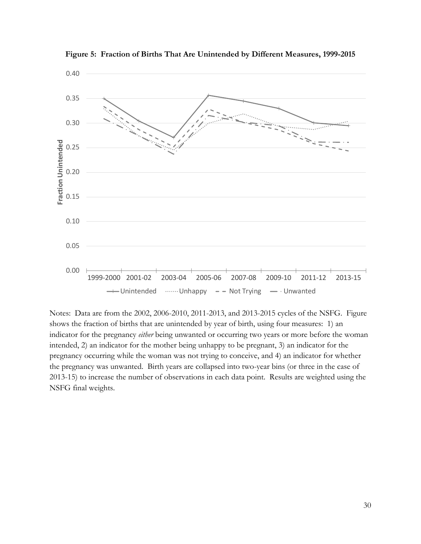

**Figure 5: Fraction of Births That Are Unintended by Different Measures, 1999-2015**

Notes: Data are from the 2002, 2006-2010, 2011-2013, and 2013-2015 cycles of the NSFG. Figure shows the fraction of births that are unintended by year of birth, using four measures: 1) an indicator for the pregnancy *either* being unwanted or occurring two years or more before the woman intended, 2) an indicator for the mother being unhappy to be pregnant, 3) an indicator for the pregnancy occurring while the woman was not trying to conceive, and 4) an indicator for whether the pregnancy was unwanted. Birth years are collapsed into two-year bins (or three in the case of 2013-15) to increase the number of observations in each data point. Results are weighted using the NSFG final weights.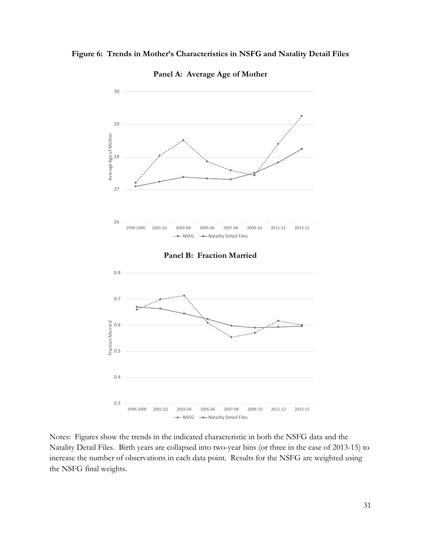# **Figure 6: Trends in Mother's Characteristics in NSFG and Natality Detail Files**



**Panel A: Average Age of Mother**

Notes: Figures show the trends in the indicated characteristic in both the NSFG data and the Natality Detail Files. Birth years are collapsed into two-year bins (or three in the case of 2013-15) to increase the number of observations in each data point. Results for the NSFG are weighted using the NSFG final weights.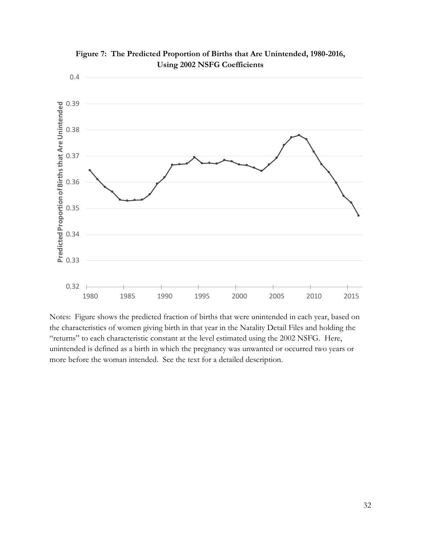

**Figure 7: The Predicted Proportion of Births that Are Unintended, 1980-2016, Using 2002 NSFG Coefficients**

Notes: Figure shows the predicted fraction of births that were unintended in each year, based on the characteristics of women giving birth in that year in the Natality Detail Files and holding the "returns" to each characteristic constant at the level estimated using the 2002 NSFG. Here, unintended is defined as a birth in which the pregnancy was unwanted or occurred two years or more before the woman intended. See the text for a detailed description.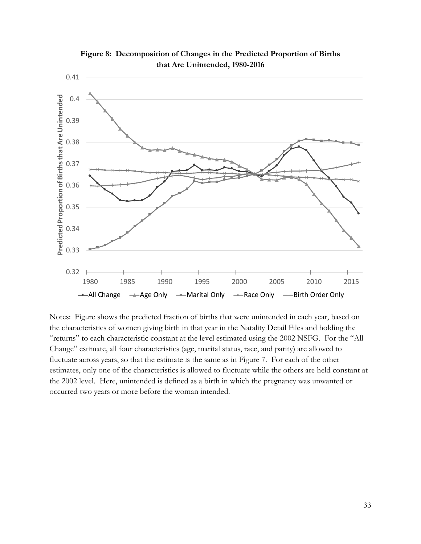

**Figure 8: Decomposition of Changes in the Predicted Proportion of Births that Are Unintended, 1980-2016**

Notes: Figure shows the predicted fraction of births that were unintended in each year, based on the characteristics of women giving birth in that year in the Natality Detail Files and holding the "returns" to each characteristic constant at the level estimated using the 2002 NSFG. For the "All Change" estimate, all four characteristics (age, marital status, race, and parity) are allowed to fluctuate across years, so that the estimate is the same as in Figure 7. For each of the other estimates, only one of the characteristics is allowed to fluctuate while the others are held constant at the 2002 level. Here, unintended is defined as a birth in which the pregnancy was unwanted or occurred two years or more before the woman intended.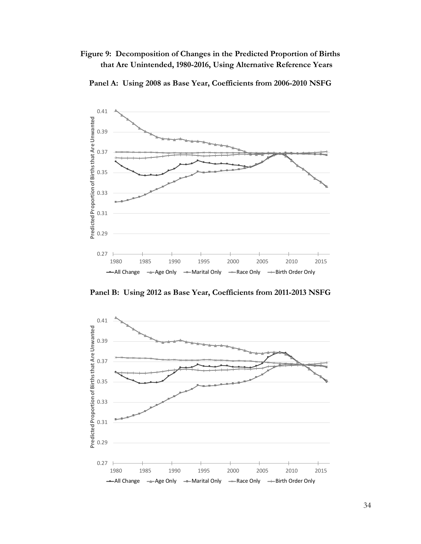**Figure 9: Decomposition of Changes in the Predicted Proportion of Births that Are Unintended, 1980-2016, Using Alternative Reference Years**



**Panel A: Using 2008 as Base Year, Coefficients from 2006-2010 NSFG**

**Panel B: Using 2012 as Base Year, Coefficients from 2011-2013 NSFG**

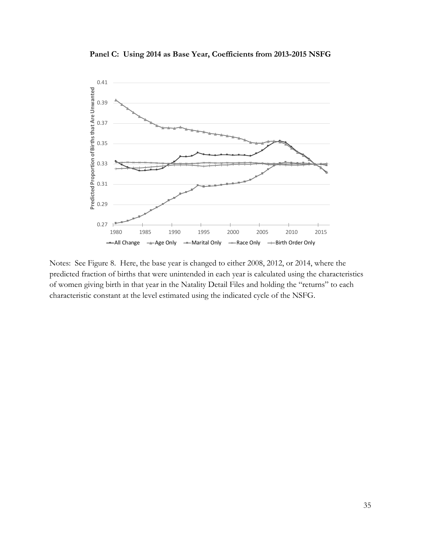

**Panel C: Using 2014 as Base Year, Coefficients from 2013-2015 NSFG**

Notes: See Figure 8. Here, the base year is changed to either 2008, 2012, or 2014, where the predicted fraction of births that were unintended in each year is calculated using the characteristics of women giving birth in that year in the Natality Detail Files and holding the "returns" to each characteristic constant at the level estimated using the indicated cycle of the NSFG.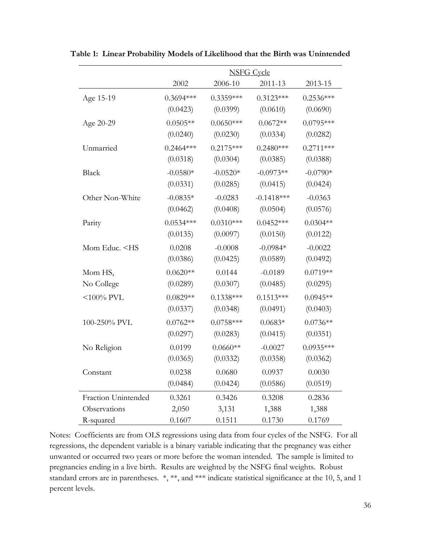|                                                                                                                                    | <b>NSFG Cycle</b> |             |              |             |
|------------------------------------------------------------------------------------------------------------------------------------|-------------------|-------------|--------------|-------------|
|                                                                                                                                    | 2002              | 2006-10     | 2011-13      | 2013-15     |
| Age 15-19                                                                                                                          | $0.3694***$       | $0.3359***$ | $0.3123***$  | $0.2536***$ |
|                                                                                                                                    | (0.0423)          | (0.0399)    | (0.0610)     | (0.0690)    |
| Age 20-29                                                                                                                          | $0.0505**$        | $0.0650***$ | $0.0672**$   | $0.0795***$ |
|                                                                                                                                    | (0.0240)          | (0.0230)    | (0.0334)     | (0.0282)    |
| Unmarried                                                                                                                          | $0.2464***$       | $0.2175***$ | $0.2480***$  | $0.2711***$ |
|                                                                                                                                    | (0.0318)          | (0.0304)    | (0.0385)     | (0.0388)    |
| <b>Black</b>                                                                                                                       | $-0.0580*$        | $-0.0520*$  | $-0.0973**$  | $-0.0790*$  |
|                                                                                                                                    | (0.0331)          | (0.0285)    | (0.0415)     | (0.0424)    |
| Other Non-White                                                                                                                    | $-0.0835*$        | $-0.0283$   | $-0.1418***$ | $-0.0363$   |
|                                                                                                                                    | (0.0462)          | (0.0408)    | (0.0504)     | (0.0576)    |
| Parity                                                                                                                             | $0.0534***$       | $0.0310***$ | $0.0452***$  | $0.0304**$  |
|                                                                                                                                    | (0.0135)          | (0.0097)    | (0.0150)     | (0.0122)    |
| Mom Educ. <hs< td=""><td>0.0208</td><td><math>-0.0008</math></td><td><math>-0.0984*</math></td><td><math>-0.0022</math></td></hs<> | 0.0208            | $-0.0008$   | $-0.0984*$   | $-0.0022$   |
|                                                                                                                                    | (0.0386)          | (0.0425)    | (0.0589)     | (0.0492)    |
| Mom HS,                                                                                                                            | $0.0620**$        | 0.0144      | $-0.0189$    | $0.0719**$  |
| No College                                                                                                                         | (0.0289)          | (0.0307)    | (0.0485)     | (0.0295)    |
| $<$ 100% PVL                                                                                                                       | $0.0829**$        | $0.1338***$ | $0.1513***$  | $0.0945**$  |
|                                                                                                                                    | (0.0337)          | (0.0348)    | (0.0491)     | (0.0403)    |
| 100-250% PVL                                                                                                                       | $0.0762**$        | $0.0758***$ | $0.0683*$    | $0.0736**$  |
|                                                                                                                                    | (0.0297)          | (0.0283)    | (0.0415)     | (0.0351)    |
| No Religion                                                                                                                        | 0.0199            | $0.0660**$  | $-0.0027$    | $0.0935***$ |
|                                                                                                                                    | (0.0365)          | (0.0332)    | (0.0358)     | (0.0362)    |
| Constant                                                                                                                           | 0.0238            | 0.0680      | 0.0937       | 0.0030      |
|                                                                                                                                    | (0.0484)          | (0.0424)    | (0.0586)     | (0.0519)    |
| Fraction Unintended                                                                                                                | 0.3261            | 0.3426      | 0.3208       | 0.2836      |
| Observations                                                                                                                       | 2,050             | 3,131       | 1,388        | 1,388       |
| R-squared                                                                                                                          | 0.1607            | 0.1511      | 0.1730       | 0.1769      |

**Table 1: Linear Probability Models of Likelihood that the Birth was Unintended**

Notes: Coefficients are from OLS regressions using data from four cycles of the NSFG. For all regressions, the dependent variable is a binary variable indicating that the pregnancy was either unwanted or occurred two years or more before the woman intended. The sample is limited to pregnancies ending in a live birth. Results are weighted by the NSFG final weights. Robust standard errors are in parentheses. \*, \*\*, and \*\*\* indicate statistical significance at the 10, 5, and 1 percent levels.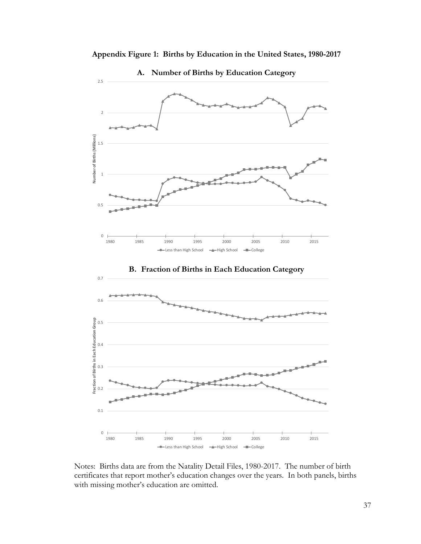

**Appendix Figure 1: Births by Education in the United States, 1980-2017**

**A. Number of Births by Education Category**

Notes: Births data are from the Natality Detail Files, 1980-2017. The number of birth certificates that report mother's education changes over the years. In both panels, births with missing mother's education are omitted.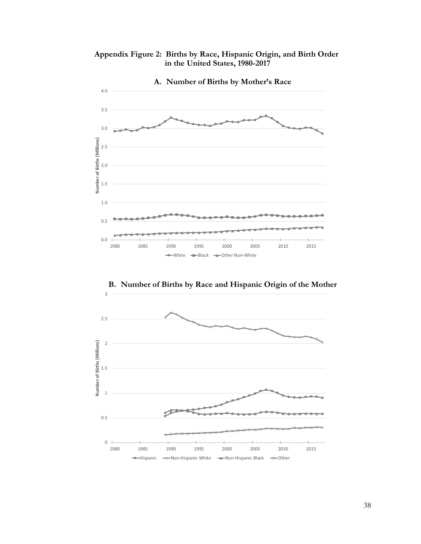**Appendix Figure 2: Births by Race, Hispanic Origin, and Birth Order in the United States, 1980-2017**



**B. Number of Births by Race and Hispanic Origin of the Mother**

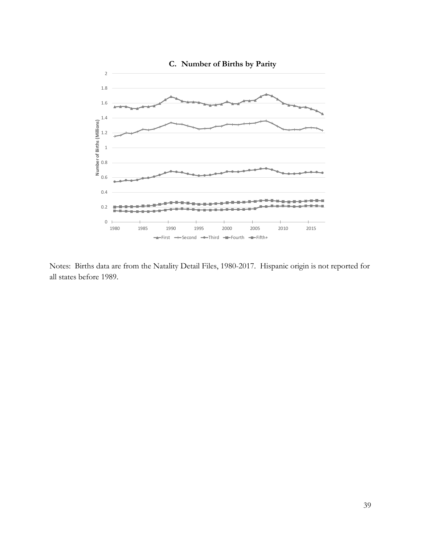

Notes: Births data are from the Natality Detail Files, 1980-2017. Hispanic origin is not reported for all states before 1989.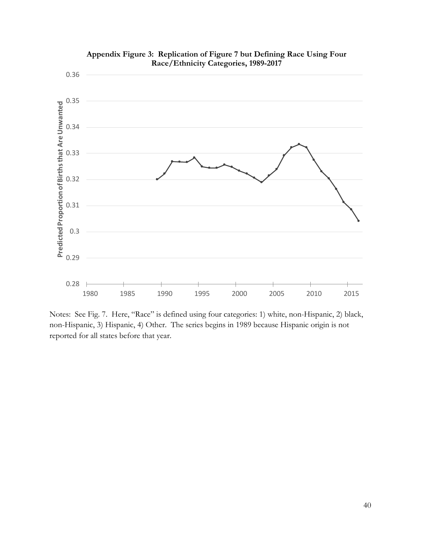

**Appendix Figure 3: Replication of Figure 7 but Defining Race Using Four Race/Ethnicity Categories, 1989-2017**

Notes: See Fig. 7. Here, "Race" is defined using four categories: 1) white, non-Hispanic, 2) black, non-Hispanic, 3) Hispanic, 4) Other. The series begins in 1989 because Hispanic origin is not reported for all states before that year.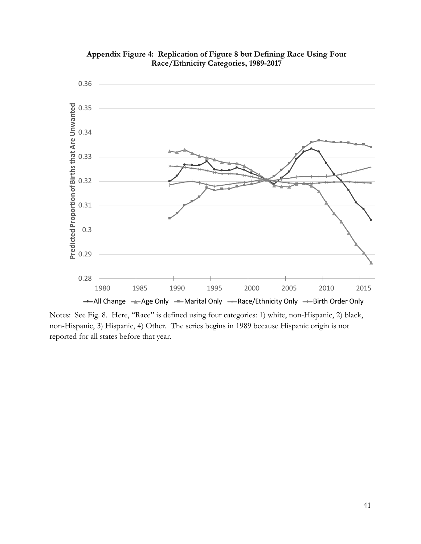

**Appendix Figure 4: Replication of Figure 8 but Defining Race Using Four Race/Ethnicity Categories, 1989-2017**

Notes: See Fig. 8. Here, "Race" is defined using four categories: 1) white, non-Hispanic, 2) black, non-Hispanic, 3) Hispanic, 4) Other. The series begins in 1989 because Hispanic origin is not reported for all states before that year.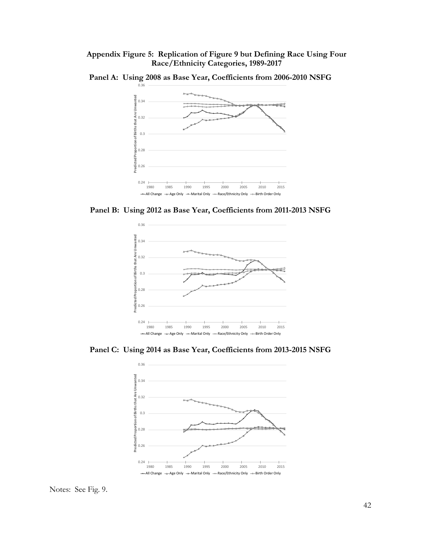**Appendix Figure 5: Replication of Figure 9 but Defining Race Using Four Race/Ethnicity Categories, 1989-2017**



**Panel A: Using 2008 as Base Year, Coefficients from 2006-2010 NSFG**

**Panel B: Using 2012 as Base Year, Coefficients from 2011-2013 NSFG**



**Panel C: Using 2014 as Base Year, Coefficients from 2013-2015 NSFG**



Notes: See Fig. 9.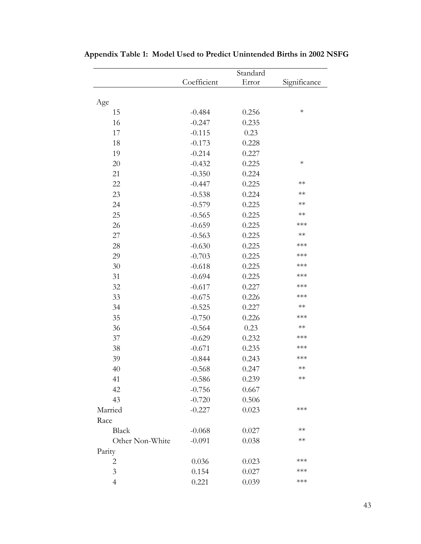|                 | Standard    |       |              |  |
|-----------------|-------------|-------|--------------|--|
|                 | Coefficient | Error | Significance |  |
|                 |             |       |              |  |
| Age             |             |       |              |  |
| 15              | $-0.484$    | 0.256 | $\ast$       |  |
| 16              | $-0.247$    | 0.235 |              |  |
| 17              | $-0.115$    | 0.23  |              |  |
| 18              | $-0.173$    | 0.228 |              |  |
| 19              | $-0.214$    | 0.227 |              |  |
| 20              | $-0.432$    | 0.225 | $\ast$       |  |
| 21              | $-0.350$    | 0.224 |              |  |
| 22              | $-0.447$    | 0.225 | $**$         |  |
| 23              | $-0.538$    | 0.224 | $**$         |  |
| 24              | $-0.579$    | 0.225 | $**$         |  |
| 25              | $-0.565$    | 0.225 | $**$         |  |
| 26              | $-0.659$    | 0.225 | $***$        |  |
| 27              | $-0.563$    | 0.225 | $**$         |  |
| 28              | $-0.630$    | 0.225 | $***$        |  |
| 29              | $-0.703$    | 0.225 | $***$        |  |
| 30              | $-0.618$    | 0.225 | $***$        |  |
| 31              | $-0.694$    | 0.225 | $***$        |  |
| 32              | $-0.617$    | 0.227 | $***$        |  |
| 33              | $-0.675$    | 0.226 | $***$        |  |
| 34              | $-0.525$    | 0.227 | $**$         |  |
| 35              | $-0.750$    | 0.226 | $***$        |  |
| 36              | $-0.564$    | 0.23  | $**$         |  |
| 37              | $-0.629$    | 0.232 | $***$        |  |
| 38              | $-0.671$    | 0.235 | $***$        |  |
| 39              | $-0.844$    | 0.243 | $***$        |  |
| 40              | $-0.568$    | 0.247 | $**$         |  |
| 41              | $-0.586$    | 0.239 | **           |  |
| 42              | $-0.756$    | 0.667 |              |  |
| 43              | $-0.720$    | 0.506 |              |  |
| Married         | $-0.227$    | 0.023 | $***$        |  |
| Race            |             |       |              |  |
| <b>Black</b>    | $-0.068$    | 0.027 | $**$         |  |
| Other Non-White | $-0.091$    | 0.038 | $**$         |  |
| Parity          |             |       |              |  |
| $\overline{2}$  | 0.036       | 0.023 | $***$        |  |
| $\mathfrak{Z}$  | 0.154       | 0.027 | $***$        |  |
| $\overline{4}$  | 0.221       | 0.039 | ***          |  |

**Appendix Table 1: Model Used to Predict Unintended Births in 2002 NSFG**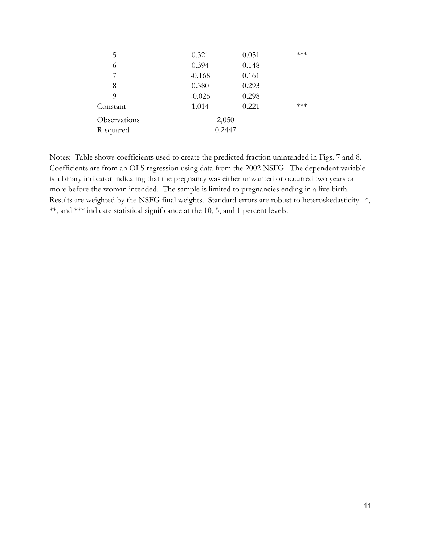| 5            | 0.321    | 0.051 | *** |
|--------------|----------|-------|-----|
| 6            | 0.394    | 0.148 |     |
| 7            | $-0.168$ | 0.161 |     |
| 8            | 0.380    | 0.293 |     |
| $9+$         | $-0.026$ | 0.298 |     |
| Constant     | 1.014    | 0.221 | *** |
| Observations | 2,050    |       |     |
| R-squared    | 0.2447   |       |     |

Notes: Table shows coefficients used to create the predicted fraction unintended in Figs. 7 and 8. Coefficients are from an OLS regression using data from the 2002 NSFG. The dependent variable is a binary indicator indicating that the pregnancy was either unwanted or occurred two years or more before the woman intended. The sample is limited to pregnancies ending in a live birth. Results are weighted by the NSFG final weights. Standard errors are robust to heteroskedasticity. \*, \*\*, and \*\*\* indicate statistical significance at the 10, 5, and 1 percent levels.